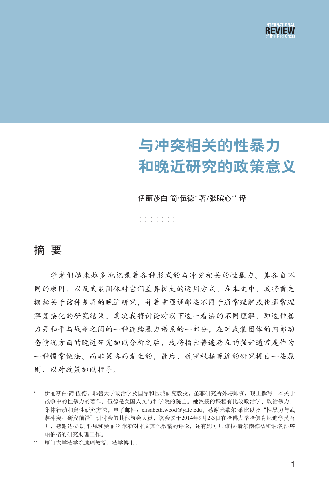

# 与冲突相关的性暴力 和晚近研究的政策意义

伊丽莎白·简·伍德\* 著/张膑心\*\* 译

······· ·······

### 摘 要

学者们越来越多地记录着各种形式的与冲突相关的性暴力、其各自不 同的原因,以及武装团体对它们差异极大的运用方式。在本文中,我将首先 概括关于该种差异的晚近研究,并着重强调那些不同于通常理解或使通常理 解复杂化的研究结果。其次我将讨论对以下这一看法的不同理解,即这种暴 力是和平与战争之间的一种连续暴力谱系的一部分。在对武装团体的内部动 态情况方面的晚近研究加以分析之后,我将指出普遍存在的强奸通常是作为 一种惯常做法、而非策略而发生的。最后,我将根据晚近的研究提出一些原 则,以对政策加以指导。

<sup>\*</sup> 伊丽莎白·简·伍德,耶鲁大学政治学及国际和区域研究教授,圣菲研究所外聘师资,现正撰写一本关于 战争中的性暴力的著作。伍德是美国人文与科学院的院士。她教授的课程有比较政治学、政治暴力、 集体行动和定性研究方法。电子邮件: elisabeth.wood@yale.edu。感谢米歇尔·莱比以及"性暴力与武 装冲突:研究前沿"研讨会的其他与会人员,该会议于2014年9月2-3日在哈佛大学哈佛肯尼迪学员召 开,感谢达拉·凯·科恩和爱丽丝·米勒对本文其他数稿的评论,还有妮可儿·维拉·赫尔南德兹和纳塔聂·塔 帕伯格的研究助理工作。

<sup>\*\*</sup> 厦门大学法学院助理教授,法学博士。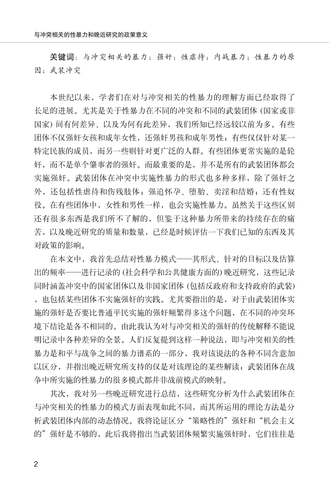关键词:与冲突相关的暴力;强奸;性虐待;内战暴力;性暴力的原 因;武装冲突

本世纪以来,学者们在对与冲突相关的性暴力的理解方面已经取得了 长足的进展。尤其是关于性暴力在不同的冲突和不同的武装团体 (国家或非 国家) 间有何差异、以及为何有此差异,我们所知已经远较以前为多。有些 团体不仅强奸女孩和成年女性,还强奸男孩和成年男性;有些仅仅针对某一 特定民族的成员,而另一些则针对更广泛的人群。有些团体更常实施的是轮 奸,而不是单个肇事者的强奸。而最重要的是,并不是所有的武装团体都会 实施强奸。武装团体在冲突中实施性暴力的形式也多种多样,除了强奸之 外,还包括性虐待和伤残肢体;强迫怀孕、堕胎、卖淫和结婚;还有性奴 役。在有些团体中,女性和男性一样,也会实施性暴力。虽然关于这些区别 还有很多东西是我们所不了解的,但鉴于这种暴力所带来的持续存在的痛 苦,以及晚近研究的质量和数量,已经是时候评估一下我们已知的东西及其 对政策的影响。

在本文中,我首先总结对性暴力模式——其形式、针对的目标以及估算 出的频率——进行记录的 (社会科学和公共健康方面的) 晚近研究,这些记录 同时涵盖冲突中的国家团体以及非国家团体 (包括反政府和支持政府的武装) ,也包括某些团体不实施强奸的实践。尤其要指出的是,对于由武装团体实 施的强奸是否要比普通平民实施的强奸频繁得多这个问题,在不同的冲突环 境下结论是各不相同的。由此我认为对与冲突相关的强奸的传统解释不能说 明记录中各种差异的全景。人们反复提到这样一种说法,即与冲突相关的性 暴力是和平与战争之间的暴力谱系的一部分,我对该说法的各种不同含意加 以区分,并指出晚近研究所支持的仅是对该理论的某些解读;武装团体在战 争中所实施的性暴力的很多模式都并非战前模式的映射。

其次,我对另一些晚近研究进行总结,这些研究分析为什么武装团体在 与冲突相关的性暴力的模式方面表现如此不同,而其所运用的理论方法是分 析武装团体内部的动态情况。我将论证区分"策略性的"强奸和"机会主义 的"强奸是不够的, 此后我将指出当武装团体频繁实施强奸时, 它们往往是

2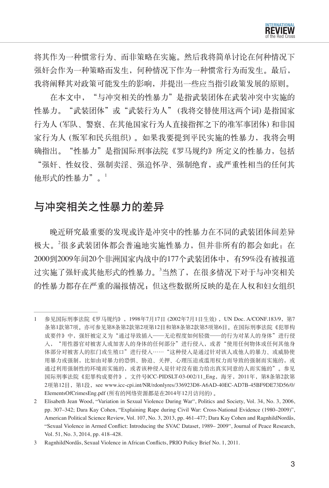

将其作为一种惯常行为、而非策略在实施。然后我将简单讨论在何种情况下 强奸会作为一种策略而发生,何种情况下作为一种惯常行为而发生。最后, 我将阐释其对政策可能发生的影响,并提出一些应当指引政策发展的原则。

在本文中, "与冲突相关的性暴力"是指武装团体在武装冲突中实施的 性暴力。"武装团体"或"武装行为人"(我将交替使用这两个词) 是指国家 行为人 (军队、警察、在其他国家行为人直接指挥之下的准军事团体) 和非国 家行为人 (叛军和民兵组织) 。如果我要提到平民实施的性暴力,我将会明 确指出。"性暴力"是指国际刑事法院《罗马规约》所定义的性暴力,包括 "强奸、性奴役、强制卖淫、强迫怀孕、强制绝育,或严重性相当的任何其 他形式的性暴力"。1

# 与冲突相关之性暴力的差异

晚近研究最重要的发现或许是冲突中的性暴力在不同的武装团体间差异 极大。2很多武装团体都会普遍地实施性暴力,但并非所有的都会如此: 在 2000到2009年间20个非洲国家内战中的177个武装团体中,有59%没有被报道 过实施了强奸或其他形式的性暴力。<sup>3</sup>当然了,在很多情况下对于与冲突相关 的性暴力都存在严重的漏报情况;但这些数据所反映的是在人权和妇女组织

<sup>1</sup> 参见国际刑事法院《罗马规约》,1998年7月17日 (2002年7月1日生效) ,UN Doc. A/CONF.183/9,第7 条第1款第7项。亦可参见第8条第2款第2项第12目和第8条第2款第5项第6目。在国际刑事法院《犯罪构 成要件》中,强奸被定义为"通过导致插入——无论程度如何轻微——的行为对某人的身体"进行侵 入,"用性器官对被害人或加害人的身体的任何部分"进行侵入,或者"使用任何物体或任何其他身 体部分对被害人的肛门或生殖口"进行侵入…… "这种侵入是通过针对该人或他人的暴力、或威胁使 用暴力或强制,比如由对暴力的恐惧、胁迫、关押、心理压迫或滥用权力而导致的强制而实施的,或 通过利用强制性的环境而实施的,或者该种侵入是针对没有能力给出真实同意的人而实施的"。参见 国际刑事法院《犯罪构成要件》,文件号ICC-PIDSLT-03-002/11\_Eng,海牙,2011年,第8条第2款第 2项第12目,第1段,see www.icc-cpi.int/NR/rdonlyres/336923D8-A6AD-40EC-AD7B-45BF9DE73D56/0/ ElementsOfCrimesEng.pdf (所有的网络资源都是在2014年12月访问的) 。

<sup>2</sup> Elisabeth Jean Wood, "Variation in Sexual Violence During War", Politics and Society, Vol. 34, No. 3, 2006, pp. 307–342; Dara Kay Cohen, "Explaining Rape during Civil War: Cross-National Evidence (1980–2009)", American Political Science Review, Vol. 107, No. 3, 2013, pp. 461–477; Dara Kay Cohen and RagnhildNordås, "Sexual Violence in Armed Conflict: Introducing the SVAC Dataset, 1989– 2009", Journal of Peace Research, Vol. 51, No. 3, 2014, pp. 418–428.

<sup>3</sup> RagnhildNordås, Sexual Violence in African Conflicts, PRIO Policy Brief No. 1, 2011.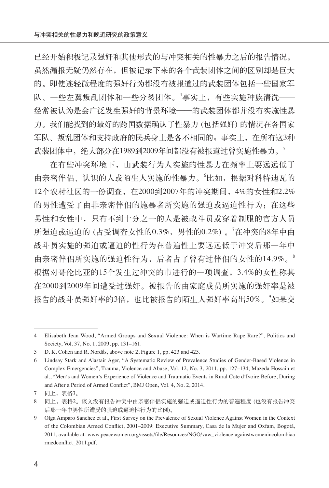已经开始积极记录强奸和其他形式的与冲突相关的性暴力之后的报告情况。 虽然漏报无疑仍然存在,但被记录下来的各个武装团体之间的区别却是巨大 的。即使连轻微程度的强奸行为都没有被报道过的武装团体包括一些国家军 队、一些左翼叛乱团体和一些分裂团体。<sup>4</sup>事实上,有些实施种族清洗—— 经常被认为是会广泛发生强奸的背景环境——的武装团体都并没有实施性暴 力。我们能找到的最好的跨国数据确认了性暴力 (包括强奸) 的情况在各国家 军队、叛乱团体和支持政府的民兵身上是各不相同的;事实上,在所有这3种 武装团体中,绝大部分在1989到2009年间都没有被报道过曾实施性暴力。<sup>5</sup>

在有些冲突环境下,由武装行为人实施的性暴力在频率上要远远低于 由亲密伴侣、认识的人或陌生人实施的性暴力。'比如, 根据对科特迪瓦的 12个农村社区的一份调查,在2000到2007年的冲突期间,4%的女性和2.2% 的男性遭受了由非亲密伴侣的施暴者所实施的强迫或逼迫性行为;在这些 男性和女性中,只有不到十分之一的人是被战斗员或穿着制服的官方人员 所强迫或逼迫的 (占受调查女性的0.3%,男性的0.2%) 。<sup>7</sup> 在冲突的8年中由 战斗员实施的强迫或逼迫的性行为在普遍性上要远远低于冲突后那一年中 由亲密伴侣所实施的强迫性行为,后者占了曾有过伴侣的女性的14.9%。<sup>8</sup> 根据对哥伦比亚的15个发生过冲突的市进行的一项调查,3.4%的女性称其 在2000到2009年间遭受过强奸。被报告的由家庭成员所实施的强奸率是被 报告的战斗员强奸率的3倍,也比被报告的陌生人强奸率高出50%。<sup>9</sup>如果交

<sup>4</sup> Elisabeth Jean Wood, "Armed Groups and Sexual Violence: When is Wartime Rape Rare?", Politics and Society, Vol. 37, No. 1, 2009, pp. 131–161.

<sup>5</sup> D. K. Cohen and R. Nordås, above note 2, Figure 1, pp. 423 and 425.

<sup>6</sup> Lindsay Stark and Alastair Ager, "A Systematic Review of Prevalence Studies of Gender-Based Violence in Complex Emergencies", Trauma, Violence and Abuse, Vol. 12, No. 3, 2011, pp. 127–134; Mazeda Hossain et al., "Men's and Women's Experience of Violence and Traumatic Events in Rural Cote d'Ivoire Before, During and After a Period of Armed Conflict", BMJ Open, Vol. 4, No. 2, 2014.

<sup>7</sup> 同上,表格3。

<sup>8</sup> 同上,表格2。该文没有报告冲突中由亲密伴侣实施的强迫或逼迫性行为的普遍程度 (也没有报告冲突 后那一年中男性所遭受的强迫或逼迫性行为的比例)。

<sup>9</sup> Olga Amparo Sanchez et al., First Survey on the Prevalence of Sexual Violence Against Women in the Context of the Colombian Armed Conflict, 2001–2009: Executive Summary, Casa de la Mujer and Oxfam, Bogotá, 2011, available at: www.peacewomen.org/assets/file/Resources/NGO/vaw\_violence againstwomenincolombiaa rmedconflict\_2011.pdf.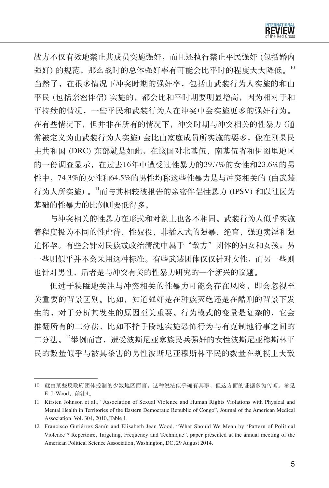

战方不仅有效地禁止其成员实施强奸,而且还执行禁止平民强奸 (包括婚内 强奸) 的规范, 那么战时的总体强奸率有可能会比平时的程度大大降低。 当然了,在很多情况下冲突时期的强奸率,包括由武装行为人实施的和由 平民 (包括亲密伴侣) 实施的,都会比和平时期要明显增高,因为相对于和 平持续的情况,一些平民和武装行为人在冲突中会实施更多的强奸行为。 在有些情况下,但并非在所有的情况下,冲突时期与冲突相关的性暴力 (通 常被定义为由武装行为人实施) 会比由家庭成员所实施的要多,像在刚果民 主共和国 (DRC) 东部就是如此,在该国对北基伍、南基伍省和伊图里地区 的一份调查显示,在过去16年中遭受过性暴力的39.7%的女性和23.6%的男 性中,74.3%的女性和64.5%的男性均称这些性暴力是与冲突相关的 (由武装 行为人所实施) 。<sup>11</sup>而与其相较被报告的亲密伴侣性暴力 (IPSV) 和以社区为 基础的性暴力的比例则要低得多。

与冲突相关的性暴力在形式和对象上也各不相同。武装行为人似乎实施 着程度极为不同的性虐待、性奴役、非插入式的强暴、绝育、强迫卖淫和强 迫怀孕。有些会针对民族或政治清洗中属于"敌方"团体的妇女和女孩;另 一些则似乎并不会采用这种标准。有些武装团体仅仅针对女性,而另一些则 也针对男性,后者是与冲突有关的性暴力研究的一个新兴的议题。

但过于狭隘地关注与冲突相关的性暴力可能会存在风险,即会忽视至 关重要的背景区别。比如,知道强奸是在种族灭绝还是在酷刑的背景下发 生的,对于分析其发生的原因至关重要。行为模式的变量是复杂的,它会 推翻所有的二分法,比如不择手段地实施恐怖行为与有克制地行事之间的 二分法。<sup>12</sup>举例而言,遭受波斯尼亚塞族民兵强奸的女性波斯尼亚穆斯林平 民的数量似乎与被其杀害的男性波斯尼亚穆斯林平民的数量在规模上大致

<sup>10</sup> 就由某些反政府团体控制的少数地区而言,这种说法似乎确有其事,但这方面的证据多为传闻。参见 E. J. Wood, 前注4。

<sup>11</sup> Kirsten Johnson et al., "Association of Sexual Violence and Human Rights Violations with Physical and Mental Health in Territories of the Eastern Democratic Republic of Congo", Journal of the American Medical Association, Vol. 304, 2010, Table 1.

<sup>12</sup> Francisco Gutiérrez Sanín and Elisabeth Jean Wood, "What Should We Mean by 'Pattern of Political Violence'? Repertoire, Targeting, Frequency and Technique", paper presented at the annual meeting of the American Political Science Association, Washington, DC, 29 August 2014.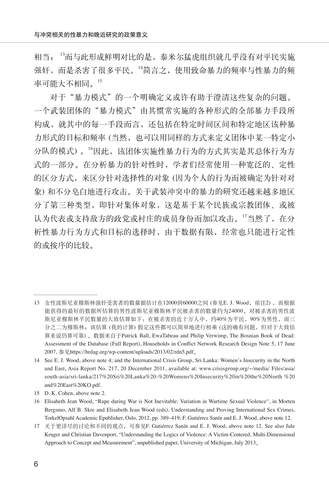相当; <sup>13</sup>而与此形成鲜明对比的是,泰米尔猛虎组织就几乎没有对平民实施 强奸,而是杀害了很多平民。<sup>14</sup>简言之,使用致命暴力的频率与性暴力的频 率可能大不相同。 $^{15}$ 

对于"暴力模式"的一个明确定义或许有助于澄清这些复杂的问题。 一个武装团体的"暴力模式"由其惯常实施的各种形式的全部暴力手段所 构成,就其中的每一手段而言,还包括在特定时间区间和特定地区该种暴 力形式的目标和频率(当然,也可以用同样的方式来定义团体中某一特定小 分队的模式) 。<sup>16</sup>因此,该团体实施性暴力行为的方式其实是其总体行为方 式的一部分。在分析暴力的针对性时,学者们经常使用一种宽泛的、定性 的区分方式,来区分针对选择性的对象 (因为个人的行为而被确定为针对对 象) 和不分皂白地进行攻击。关于武装冲突中的暴力的研究还越来越多地区 分了第三种类型,即针对集体对象,这是基于某个民族或宗教团体、或被 认为代表或支持敌方的政党或村庄的成员身份而加以攻击。17当然了, 在分 析性暴力行为方式和目标的选择时,由于数据有限,经常也只能进行定性 的或按序的比较。

<sup>13</sup> 女性波斯尼亚穆斯林强奸受害者的数量据估计在12000到60000之间 (参见E. J. Wood, 前注2), 而根据 能获得的最好的数据所估算的男性波斯尼亚穆斯林平民被杀害的数量约为24000。对被杀害的男性波 斯尼亚穆斯林平民数量的大致估算如下:在被杀害的近十万人中,约40%为平民,90%为男性,而三 分之二为穆斯林;该估算 (我的计算) 假定这些都可以简单地进行相乘 (这的确有问题,但对于大致估 算来说仍算可靠) 。数据来自于Patrick Ball, EwaTabeau and Philip Verwimp, The Bosnian Book of Dead: Assessment of the Database (Full Report), Households in Conflict Network Research Design Note 5, 17 June 2007, 参见https://hrdag.org/wp-content/uploads/2013/02/rdn5.pdf。

<sup>14</sup> See E. J. Wood, above note 4; and the International Crisis Group, Sri Lanka: Women's Insecurity in the North and East, Asia Report No. 217, 20 December 2011, available at: www.crisisgroup.org/~/media/ Files/asia/ south-asia/sri-lanka/217%20Sri%20Lanka%20-%20Womens%20Insecurity%20in%20the%20North %20 and%20East%20KO.pdf.

<sup>15</sup> D. K. Cohen, above note 2.

<sup>16</sup> Elisabeth Jean Wood, "Rape during War is Not Inevitable: Variation in Wartime Sexual Violence", in Morten Bergsmo, Alf B. Skre and Elisabeth Jean Wood (eds), Understanding and Proving International Sex Crimes, TorkelOpsahl Academic Epublisher, Oslo, 2012, pp. 389–419; F. Gutiérrez Sanín and E. J. Wood, above note 12.

<sup>17</sup> 关于更详尽的讨论和不同的观点,可参见F. Gutiérrez Sanín and E. J. Wood, above note 12. See also Jule Kruger and Christian Davenport, "Understanding the Logics of Violence: A Victim-Centered, Multi-Dimensional Approach to Concept and Measurement", unpublished paper, University of Michigan, July 2013。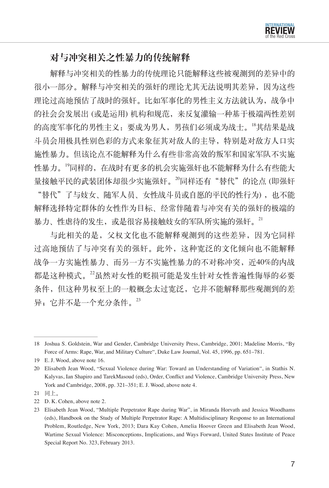# 对与冲突相关之性暴力的传统解释

解释与冲突相关的性暴力的传统理论只能解释这些被观测到的差异中的 很小一部分。解释与冲突相关的强奸的理论尤其无法说明其差异,因为这些 理论过高地预估了战时的强奸。比如军事化的男性主义方法就认为,战争中 的社会会发展出 (或是运用) 机构和规范,来反复灌输一种基于极端两性差别 的高度军事化的男性主义:要成为男人,男孩们必须成为战士。<sup>18</sup>其结果是战 斗员会用极具性别色彩的方式来象征其对敌人的主导,特别是对敌方人口实 施性暴力。但该论点不能解释为什么有些非常高效的叛军和国家军队不实施 性暴力。<sup>19</sup>同样的, 在战时有更多的机会实施强奸也不能解释为什么有些能大 量接触平民的武装团体却很少实施强奸。<sup>20</sup>同样还有"替代"的论点 (即强奸 "巷代"了与妓女、随军人员、女性战斗员或自愿的平民的性行为), 也不能 解释选择特定群体的女性作为目标、经常伴随着与冲突有关的强奸的极端的 暴力、性虐待的发生, 或是很容易接触妓女的军队所实施的强奸。<sup>21</sup>

与此相关的是,父权文化也不能解释观测到的这些差异,因为它同样 过高地预估了与冲突有关的强奸。此外,这种宽泛的文化倾向也不能解释 战争一方实施性暴力、而另一方不实施性暴力的不对称冲突, 近40%的内战 都是这种模式。22虽然对女性的贬损可能是发生针对女性普遍性侮辱的必要 条件,但这种男权至上的一般概念太过宽泛,它并不能解释那些观测到的差 异; 它并不是一个充分条件。<sup>23</sup>

<sup>18</sup> Joshua S. Goldstein, War and Gender, Cambridge University Press, Cambridge, 2001; Madeline Morris, "By Force of Arms: Rape, War, and Military Culture", Duke Law Journal, Vol. 45, 1996, pp. 651–781.

<sup>19</sup> E. J. Wood, above note 16.

<sup>20</sup> Elisabeth Jean Wood, "Sexual Violence during War: Toward an Understanding of Variation", in Stathis N. Kalyvas, Ian Shapiro and TarekMasoud (eds), Order, Conflict and Violence, Cambridge University Press, New York and Cambridge, 2008, pp. 321–351; E. J. Wood, above note 4.

<sup>21</sup> 同上。

<sup>22</sup> D. K. Cohen, above note 2.

<sup>23</sup> Elisabeth Jean Wood, "Multiple Perpetrator Rape during War", in Miranda Horvath and Jessica Woodhams (eds), Handbook on the Study of Multiple Perpetrator Rape: A Multidisciplinary Response to an International Problem, Routledge, New York, 2013; Dara Kay Cohen, Amelia Hoover Green and Elisabeth Jean Wood, Wartime Sexual Violence: Misconceptions, Implications, and Ways Forward, United States Institute of Peace Special Report No. 323, February 2013.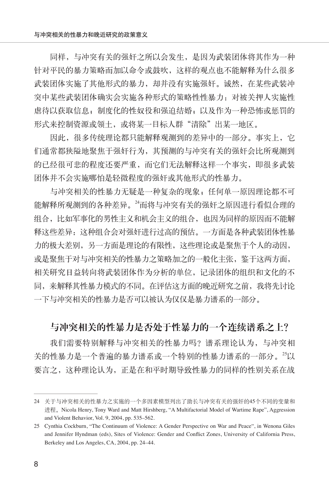同样,与冲突有关的强奸之所以会发生,是因为武装团体将其作为一种 针对平民的暴力策略而加以命令或鼓吹,这样的观点也不能解释为什么很多 武装团体实施了其他形式的暴力,却并没有实施强奸。诚然,在某些武装冲 突中某些武装团体确实会实施各种形式的策略性性暴力:对被关押人实施性 虐待以获取信息;制度化的性奴役和强迫结婚;以及作为一种恐怖或惩罚的 形式来控制资源或领土,或将某一目标人群"清除"出某一地区。

因此,很多传统理论都只能解释观测到的差异中的一部分。事实上, 它 们通常都狭隘地聚焦于强奸行为,其预测的与冲突有关的强奸会比所观测到 的已经很可悲的程度还要严重,而它们无法解释这样一个事实,即很多武装 团体并不会实施哪怕是轻微程度的强奸或其他形式的性暴力。

与冲突相关的性暴力无疑是一种复杂的现象;任何单一原因理论都不可 能解释所观测到的各种差异。<sup>24</sup>而将与冲突有关的强奸之原因进行看似合理的 组合,比如军事化的男性主义和机会主义的组合,也因为同样的原因而不能解 释这些差异:这种组合会对强奸进行过高的预估。一方面是各种武装团体性暴 力的极大差别,另一方面是理论的有限性,这些理论或是聚焦于个人的动因, 或是聚焦于对与冲突相关的性暴力之策略加之的一般化主张,鉴于这两方面, 相关研究日益转向将武装团体作为分析的单位,记录团体的组织和文化的不 同,来解释其性暴力模式的不同。在评估这方面的晚近研究之前,我将先讨论 一下与冲突相关的性暴力是否可以被认为仅仅是暴力谱系的一部分。

#### 与冲突相关的性暴力是否处于性暴力的一个连续谱系之上?

我们需要特别解释与冲突相关的性暴力吗?谱系理论认为,与冲突相 关的性暴力是一个普遍的暴力谱系或一个特别的性暴力谱系的一部分。<sup>25</sup>以 要言之,这种理论认为,正是在和平时期导致性暴力的同样的性别关系在战

<sup>24</sup> 关于与冲突相关的性暴力之实施的一个多因素模型列出了助长与冲突有关的强奸的45个不同的变量和 进程。Nicola Henry, Tony Ward and Matt Hirshberg, "A Multifactorial Model of Wartime Rape", Aggression and Violent Behavior, Vol. 9, 2004, pp. 535–562.

<sup>25</sup> Cynthia Cockburn, "The Continuum of Violence: A Gender Perspective on War and Peace", in Wenona Giles and Jennifer Hyndman (eds), Sites of Violence: Gender and Conflict Zones, University of California Press, Berkeley and Los Angeles, CA, 2004, pp. 24–44.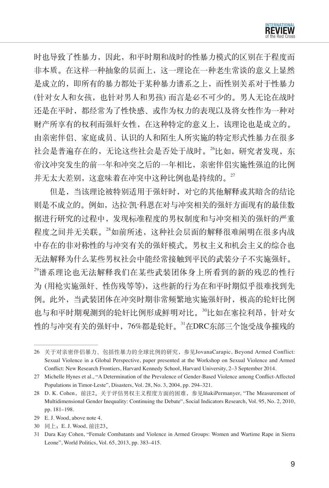

时也导致了性暴力,因此,和平时期和战时的性暴力模式的区别在于程度而 非本质。在这样一种抽象的层面上,这一理论在一种老生常谈的意义上显然 是成立的,即所有的暴力都处于某种暴力谱系之上,而性别关系对于性暴力 (针对女人和女孩,也针对男人和男孩) 而言是必不可少的。男人无论在战时 还是在平时,都经常为了性快感、或作为权力的表现以及将女性作为一种对 财产所享有的权利而强奸女性,在这种特定的意义上,该理论也是成立的。 由亲密伴侣、家庭成员、认识的人和陌生人所实施的特定形式性暴力在很多 社会是普遍存在的,无论这些社会是否处于战时。<sup>26</sup>比如,研究者发现,东 帝汶冲突发生的前一年和冲突之后的一年相比,亲密伴侣实施性强迫的比例 并无太大差别,这意味着在冲突中这种比例也是持续的。27

但是,当该理论被特别适用于强奸时,对它的其他解释或其暗含的结论 则是不成立的。例如,达拉·凯·科恩在对与冲突相关的强奸方面现有的最佳数 据进行研究的过程中,发现标准程度的男权制度和与冲突相关的强奸的严重 程度之间并无关联。<sup>28</sup>如前所述,这种社会层面的解释很难阐明在很多内战 中存在的非对称性的与冲突有关的强奸模式。男权主义和机会主义的综合也 无法解释为什么某些男权社会中能经常接触到平民的武装分子不实施强奸。 <sup>29</sup>谱系理论也无法解释我们在某些武装团体身上所看到的新的残忍的性行 为 (用枪实施强奸、性伤残等等),这些新的行为在和平时期似乎很难找到先 例。此外,当武装团体在冲突时期非常频繁地实施强奸时,极高的轮奸比例 也与和平时期观测到的轮奸比例形成鲜明对比。<sup>30</sup>比如在塞拉利昂,针对女 性的与冲突有关的强奸中,76%都是轮奸。<sup>31</sup>在DRC东部三个饱受战争摧残的

<sup>26</sup> 关于对亲密伴侣暴力、包括性暴力的全球比例的研究,参见JovanaCarapic, Beyond Armed Conflict: Sexual Violence in a Global Perspective, paper presented at the Workshop on Sexual Violence and Armed Conflict: New Research Frontiers, Harvard Kennedy School, Harvard University, 2–3 September 2014.

<sup>27</sup> Michelle Hynes et al., "A Determination of the Prevalence of Gender-Based Violence among Conflict-Affected Populations in Timor-Leste", Disasters, Vol. 28, No. 3, 2004, pp. 294–321.

<sup>28</sup> D. K. Cohen,前注2。关于评估男权主义程度方面的困难,参见IñakiPermanyer, "The Measurement of Multidimensional Gender Inequality: Continuing the Debate", Social Indicators Research, Vol. 95, No. 2, 2010, pp. 181–198.

<sup>29</sup> E. J. Wood, above note 4.

<sup>30</sup> 同上;E. J. Wood, 前注23。

<sup>31</sup> Dara Kay Cohen, "Female Combatants and Violence in Armed Groups: Women and Wartime Rape in Sierra Leone", World Politics, Vol. 65, 2013, pp. 383–415.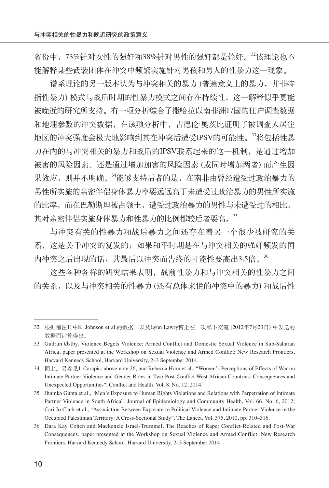省份中,73%针对女性的强奸和38%针对男性的强奸都是轮奸。<sup>32</sup>该理论也不 能解释某些武装团体在冲突中频繁实施针对男孩和男人的性暴力这一现象。

谱系理论的另一版本认为与冲突相关的暴力 (普遍意义上的暴力,并非特 指性暴力) 模式与战后时期的性暴力模式之间存在持续性,这一解释似乎更能 被晚近的研究所支持。有一项分析综合了撒哈拉以南非洲17国的住户调查数据 和地理参数的冲突数据,在该项分析中,古德伦·奥茨比证明了被调查人居住 地区的冲突强度会极大地影响到其在冲突后遭受IPSV的可能性。<sup>33</sup>将包括性暴 力在内的与冲突相关的暴力和战后的IPSV联系起来的这一机制,是通过增加 被害的风险因素、还是通过增加加害的风险因素 (或同时增加两者) 而产生因 果效应,则并不明确。<sup>34</sup>能够支持后者的是,在南非由曾经遭受过政治暴力的 男性所实施的亲密伴侣身体暴力率要远远高于未遭受过政治暴力的男性所实施 的比率,而在巴勒斯坦被占领土,遭受过政治暴力的男性与未遭受过的相比, 其对亲密伴侣实施身体暴力和性暴力的比例都较后者要高。35

与冲突有关的性暴力和战后暴力之间还存在着另一个很少被研究的关 系,这是关于冲突的复发的:如果和平时期是在与冲突相关的强奸频发的国 内冲突之后出现的话,其最后以冲突而告终的可能性要高出3.5倍。<sup>36</sup>

这些各种各样的研究结果表明,战前性暴力和与冲突相关的性暴力之间 的关系,以及与冲突相关的性暴力 (还有总体来说的冲突中的暴力) 和战后性

<sup>32</sup> 根据前注11中K. Johnson et al.的数据、以及Lynn Lawry博士在一次私下交流 (2012年7月23日) 中发送的 数据而计算得出。

<sup>33</sup> Gudrun Østby, Violence Begets Violence: Armed Conflict and Domestic Sexual Violence in Sub-Saharan Africa, paper presented at the Workshop on Sexual Violence and Armed Conflict: New Research Frontiers, Harvard Kennedy School, Harvard University, 2–3 September 2014.

<sup>34</sup> 同上。另参见J. Carapic, above note 26; and Rebecca Horn et al., "Women's Perceptions of Effects of War on Intimate Partner Violence and Gender Roles in Two Post-Conflict West African Countries: Consequences and Unexpected Opportunities", Conflict and Health, Vol. 8, No. 12, 2014.

<sup>35</sup> Jhumka Gupta et al., "Men's Exposure to Human Rights Violations and Relations with Perpetration of Intimate Partner Violence in South Africa", Journal of Epidemiology and Community Health, Vol. 66, No. 6, 2012; Cari Jo Clark et al., "Association Between Exposure to Political Violence and Intimate Partner Violence in the Occupied Palestinian Territory: A Cross-Sectional Study", The Lancet, Vol. 375, 2010, pp. 310–316.

<sup>36</sup> Dara Kay Cohen and Mackenzie Israel-Trummel, The Reaches of Rape: Conflict-Related and Post-War Consequences, paper presented at the Workshop on Sexual Violence and Armed Conflict: New Research Frontiers, Harvard Kennedy School, Harvard University, 2–3 September 2014.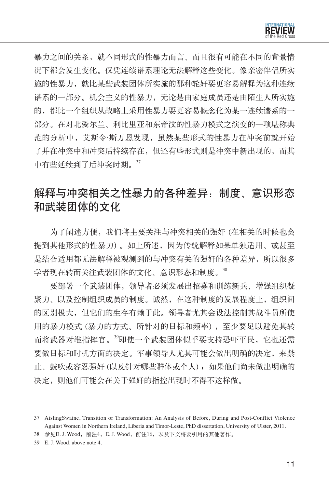

暴力之间的关系,就不同形式的性暴力而言、而且很有可能在不同的背景情 况下都会发生变化。仅凭连续谱系理论无法解释这些变化。像亲密伴侣所实 施的性暴力,就比某些武装团体所实施的那种轮奸要更容易解释为这种连续 谱系的一部分。机会主义的性暴力,无论是由家庭成员还是由陌生人所实施 的,都比一个组织从战略上采用性暴力要更容易概念化为某一连续谱系的一 部分。在对北爱尔兰、利比里亚和东帝汶的性暴力模式之演变的一项堪称典 范的分析中,艾斯令·斯万恩发现,虽然某些形式的性暴力在冲突前就开始 了并在冲突中和冲突后持续存在,但还有些形式则是冲突中新出现的,而其 中有些延续到了后冲突时期。<sup>37</sup>

# 解释与冲突相关之性暴力的各种差异:制度、意识形态 和武装团体的文化

为了阐述方便,我们将主要关注与冲突相关的强奸(在相关的时候也会 提到其他形式的性暴力) 。如上所述,因为传统解释如果单独适用、或甚至 是结合适用都无法解释被观测到的与冲突有关的强奸的各种差异,所以很多 学者现在转而关注武装团体的文化、意识形态和制度。38

要部署一个武装团体,领导者必须发展出招募和训练新兵、增强组织凝 聚力、以及控制组织成员的制度。诚然, 在这种制度的发展程度上, 组织间 的区别极大,但它们的生存有赖于此。领导者尤其会设法控制其战斗员所使 用的暴力模式 (暴力的方式、所针对的目标和频率),至少要足以避免其转 而将武器对准指挥官。<sup>39</sup>即使一个武装团体似乎要支持恐吓平民,它也还需 要做目标和时机方面的决定。军事领导人尤其可能会做出明确的决定,来禁 止、鼓吹或容忍强奸 (以及针对哪些群体或个人) ; 如果他们尚未做出明确的 决定,则他们可能会在关于强奸的指控出现时不得不这样做。

<sup>37</sup> AislingSwaine, Transition or Transformation: An Analysis of Before, During and Post-Conflict Violence Against Women in Northern Ireland, Liberia and Timor-Leste, PhD dissertation, University of Ulster, 2011.

<sup>38</sup> 参见E. J. Wood, 前注4, E. J. Wood, 前注16, 以及下文将要引用的其他著作。

<sup>39</sup> E. J. Wood, above note 4.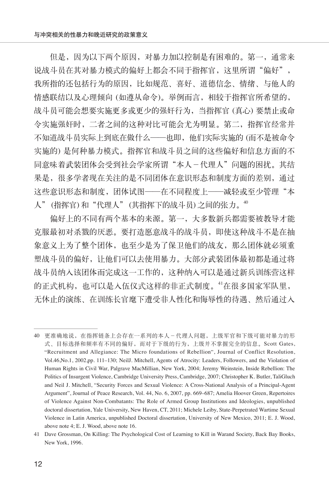但是,因为以下两个原因,对暴力加以控制是有困难的。第一, 通常来 说战斗员在其对暴力模式的偏好上都会不同于指挥官,这里所谓"偏好", 我所指的还包括行为的原因,比如规范、喜好、道德信念、情绪、与他人的 情感联结以及心理倾向 (如遵从命令)。举例而言,相较于指挥官所希望的, 战斗员可能会想要实施更多或更少的强奸行为,当指挥官 (真心) 要禁止或命 令实施强奸时,二者之间的这种对比可能会尤为明显。第二,指挥官经常并 不知道战斗员实际上到底在做什么——也即,他们实际实施的 (而不是被命令 实施的) 是何种暴力模式。指挥官和战斗员之间的这些偏好和信息方面的不 同意味着武装团体会受到社会学家所谓"本人-代理人"问题的困扰。其结 果是,很多学者现在关注的是不同团体在意识形态和制度方面的差别,通过 这些意识形态和制度,团体试图——在不同程度上——减轻或至少管理"本 人"(指挥官)和"代理人"(其指挥下的战斗员)之间的张力。<sup>40</sup>

偏好上的不同有两个基本的来源。第一,大多数新兵都需要被教导才能 克服最初对杀戮的厌恶。要打造愿意战斗的战斗员,即使这种战斗不是在抽 象意义上为了整个团体,也至少是为了保卫他们的战友,那么团体就必须重 塑战斗员的偏好,让他们可以去使用暴力。大部分武装团体最初都是通过将 战斗员纳入该团体而完成这一工作的,这种纳入可以是通过新兵训练营这样 的正式机构,也可以是入伍仪式这样的非正式制度。<sup>41</sup>在很多国家军队里, 无休止的演练、在训练长官麾下遭受非人性化和侮辱性的待遇、然后通过入

<sup>40</sup> 更准确地说,在指挥链条上会存在一系列的本人-代理人问题,上级军官和下级可能对暴力的形 式、目标选择和频率有不同的偏好,而对于下级的行为,上级并不掌握完全的信息。Scott Gates, "Recruitment and Allegiance: The Micro foundations of Rebellion", Journal of Conflict Resolution, Vol.46,No.1, 2002,pp. 111–130; NeilJ. Mitchell, Agents of Atrocity: Leaders, Followers, and the Violation of Human Rights in Civil War, Palgrave MacMillian, New York, 2004; Jeremy Weinstein, Inside Rebellion: The Politics of Insurgent Violence, Cambridge University Press, Cambridge, 2007; Christopher K. Butler, TaliGluch and Neil J. Mitchell, "Security Forces and Sexual Violence: A Cross-National Analysis of a Principal-Agent Argument", Journal of Peace Research, Vol. 44, No. 6, 2007, pp. 669–687; Amelia Hoover Green, Repertoires of Violence Against Non-Combatants: The Role of Armed Group Institutions and Ideologies, unpublished doctoral dissertation, Yale University, New Haven, CT, 2011; Michele Leiby, State-Perpetrated Wartime Sexual Violence in Latin America, unpublished Doctoral dissertation, University of New Mexico, 2011; E. J. Wood, above note 4; E. J. Wood, above note 16.

<sup>41</sup> Dave Grossman, On Killing: The Psychological Cost of Learning to Kill in Warand Society, Back Bay Books, New York, 1996.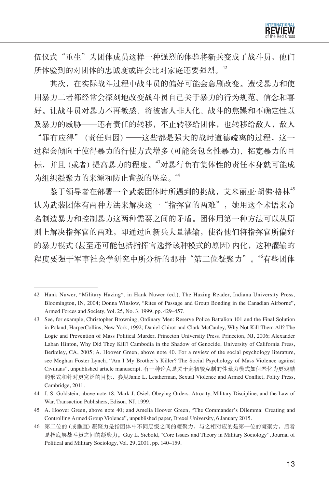

伍仪式"重生"为团体成员这样一种强烈的体验将新兵变成了战斗员,他们 所体验到的对团体的忠诚度或许会比对家庭还要强烈。<sup>42</sup>

其次,在实际战斗过程中战斗员的偏好可能会急剧改变。遭受暴力和使 用暴力二者都经常会深刻地改变战斗员自己关于暴力的行为规范、信念和喜 好。让战斗员对暴力不再敏感、将被害人非人化、战斗的焦躁和不确定性以 及暴力的威胁——还有责任的转移,不止转移给团体, 也转移给敌人, 敌人 "罪有应得" (责任归因) ——这些都是强大的战时道德疏离的过程,这一 过程会倾向于使得暴力的行使方式增多 (可能会包含性暴力)、拓宽暴力的目

标,并且 (或者) 提高暴力的程度。<sup>43</sup>对暴行负有集体性的责任本身就可能成 为组织凝聚力的来源和防止背叛的堡垒。<sup>44</sup>

鉴于领导者在部署一个武装团体时所遇到的挑战,艾米丽亚·胡佛·格林<sup>45</sup> 认为武装团体有两种方法来解决这一"指挥官的两难",她用这个术语来命 名制造暴力和控制暴力这两种需要之间的矛盾。团体用第一种方法可以从原 则上解决指挥官的两难,即通过向新兵大量灌输,使得他们将指挥官所偏好 的暴力模式 (甚至还可能包括指挥官选择该种模式的原因) 内化,这种灌输的 程度要强于军事社会学研究中所分析的那种"第二位凝聚力"。"有些团体

<sup>42</sup> Hank Nuwer, "Military Hazing", in Hank Nuwer (ed.), The Hazing Reader, Indiana University Press, Bloomington, IN, 2004; Donna Winslow, "Rites of Passage and Group Bonding in the Canadian Airborne", Armed Forces and Society, Vol. 25, No. 3, 1999, pp. 429–457.

<sup>43</sup> See, for example, Christopher Browning, Ordinary Men: Reserve Police Battalion 101 and the Final Solution in Poland, HarperCollins, New York, 1992; Daniel Chirot and Clark McCauley, Why Not Kill Them All? The Logic and Prevention of Mass Political Murder, Princeton University Press, Princeton, NJ, 2006; Alexander Laban Hinton, Why Did They Kill? Cambodia in the Shadow of Genocide, University of California Press, Berkeley, CA, 2005; A. Hoover Green, above note 40. For a review of the social psychology literature, see Meghan Foster Lynch, "Am I My Brother's Killer? The Social Psychology of Mass Violence against Civilians", unpublished article manuscript. 有一种论点是关于起初较克制的性暴力模式如何恶化为更残酷 的形式和针对更宽泛的目标,参见Janie L. Leatherman, Sexual Violence and Armed Conflict, Polity Press, Cambridge, 2011.

<sup>44</sup> J. S. Goldstein, above note 18; Mark J. Osiel, Obeying Orders: Atrocity, Military Discipline, and the Law of War, Transaction Publishers, Edison, NJ, 1999.

<sup>45</sup> A. Hoover Green, above note 40; and Amelia Hoover Green, "The Commander's Dilemma: Creating and Controlling Armed Group Violence", unpublished paper, Drexel University, 6 January 2015.

<sup>46</sup> 第二位的 (或垂直) 凝聚力是指团体中不同层级之间的凝聚力,与之相对应的是第一位的凝聚力,后者 是指底层战斗员之间的凝聚力。Guy L. Siebold, "Core Issues and Theory in Military Sociology", Journal of Political and Military Sociology, Vol. 29, 2001, pp. 140–159.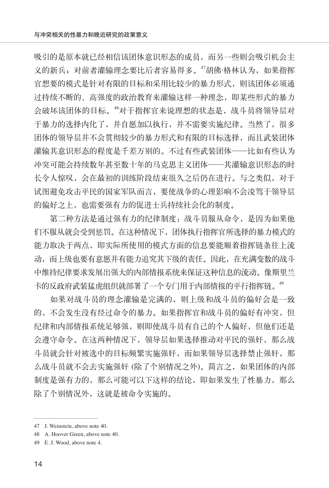吸引的是原本就已经相信该团体意识形态的成员,而另一些则会吸引机会主 义的新兵;对前者灌输理念要比后者容易得多。"胡佛·格林认为, 如果指挥 官想要的模式是针对有限的目标和采用比较少的暴力形式,则该团体必须通 过持续不断的、高强度的政治教育来灌输这样一种理念,即某些形式的暴力 会破坏该团体的目标。<sup>48</sup>对于指挥官来说理想的状态是,战斗员将领导层对 于暴力的选择内化了,并自愿加以执行,并不需要实施纪律。当然了,很多 团体的领导层并不会贯彻较少的暴力形式和有限的目标选择,而且武装团体 灌输其意识形态的程度是千差万别的。不过有些武装团体——比如有些认为 冲突可能会持续数年甚至数十年的马克思主义团体——其灌输意识形态的时 长令人惊叹,会在最初的训练阶段结束很久之后仍在进行。与之类似,对于 试图避免攻击平民的国家军队而言,要使战争的心理影响不会凌驾于领导层 的偏好之上,也需要强有力的促进士兵持续社会化的制度。

第二种方法是通过强有力的纪律制度:战斗员服从命令,是因为如果他 们不服从就会受到惩罚。在这种情况下,团体执行指挥官所选择的暴力模式的 能力取决于两点,即实际所使用的模式方面的信息要能顺着指挥链条往上流 动,而上级也要有意愿并有能力追究其下级的责任。因此,在充满变数的战斗 中维持纪律要求发展出强大的内部情报系统来保证这种信息的流动。像斯里兰 卡的反政府武装猛虎组织就部署了一个专门用于内部情报的平行指挥链。<sup>49</sup>

如果对战斗员的理念灌输是完满的,则上级和战斗员的偏好会是一致 的,不会发生没有经过命令的暴力。如果指挥官和战斗员的偏好有冲突,但 纪律和内部情报系统足够强,则即使战斗员有自己的个人偏好,但他们还是 会遵守命令。在这两种情况下,领导层如果选择推动对平民的强奸,那么战 斗员就会针对被选中的目标频繁实施强奸,而如果领导层选择禁止强奸,那 么战斗员就不会去实施强奸 (除了个别情况之外)。简言之,如果团体的内部 制度是强有力的,那么可能可以下这样的结论,即如果发生了性暴力,那么 除了个别情况外,这就是被命令实施的。

<sup>47</sup> J. Weinstein, above note 40.

<sup>48</sup> A. Hoover Green, above note 40.

<sup>49</sup> E. J. Wood, above note 4.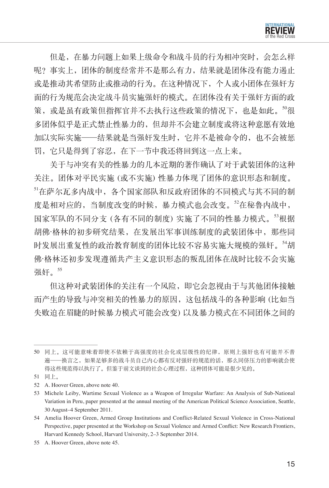

但是,在暴力问题上如果上级命令和战斗员的行为相冲突时,会怎么样 呢?事实上,团体的制度经常并不是那么有力,结果就是团体没有能力遏止 或是推动其希望防止或推动的行为。在这种情况下,个人或小团体在强奸方 面的行为规范会决定战斗员实施强奸的模式。在团体没有关于强奸方面的政 策, 或是虽有政策但指挥官并不去执行这些政策的情况下, 也是如此。<sup>50</sup>很 多团体似乎是正式禁止性暴力的,但却并不会建立制度或将这种意愿有效地 加以实际实施——结果就是当强奸发生时,它并不是被命令的,也不会被惩 罚,它只是得到了容忍,在下一节中我还将回到这一点上来。

关于与冲突有关的性暴力的几本近期的著作确认了对于武装团体的这种 关注。团体对平民实施 (或不实施) 性暴力体现了团体的意识形态和制度。 <sup>51</sup>在萨尔瓦多内战中,各个国家部队和反政府团体的不同模式与其不同的制 度是相对应的,当制度改变的时候,暴力模式也会改变。<sup>52</sup>在秘鲁内战中, 国家军队的不同分支 (各有不同的制度) 实施了不同的性暴力模式。<sup>53</sup>根据 胡佛·格林的初步研究结果,在发展出军事训练制度的武装团体中,那些同 时发展出重复性的政治教育制度的团体比较不容易实施大规模的强奸。<sup>54</sup>胡 佛·格林还初步发现遵循共产主义意识形态的叛乱团体在战时比较不会实施 强奸。<sup>55</sup>

但这种对武装团体的关注有一个风险,即它会忽视由于与其他团体接触 而产生的导致与冲突相关的性暴力的原因,这包括战斗的各种影响 (比如当 失败迫在眉睫的时候暴力模式可能会改变) 以及暴力模式在不同团体之间的

<sup>50</sup> 同上。这可能意味着即使不依赖于高强度的社会化或层级性的纪律,原则上强奸也有可能并不普 遍——换言之,如果足够多的战斗员自己内心都有反对强奸的规范的话,那么同侪压力的影响就会使 得这些规范得以执行了。但鉴于前文谈到的社会心理过程,这种团体可能是很少见的。

<sup>51</sup> 同上。

<sup>52</sup> A. Hoover Green, above note 40.

<sup>53</sup> Michele Leiby, Wartime Sexual Violence as a Weapon of Irregular Warfare: An Analysis of Sub-National Variation in Peru, paper presented at the annual meeting of the American Political Science Association, Seattle, 30 August–4 September 2011.

<sup>54</sup> Amelia Hoover Green, Armed Group Institutions and Conflict-Related Sexual Violence in Cross-National Perspective, paper presented at the Workshop on Sexual Violence and Armed Conflict: New Research Frontiers, Harvard Kennedy School, Harvard University, 2–3 September 2014.

<sup>55</sup> A. Hoover Green, above note 45.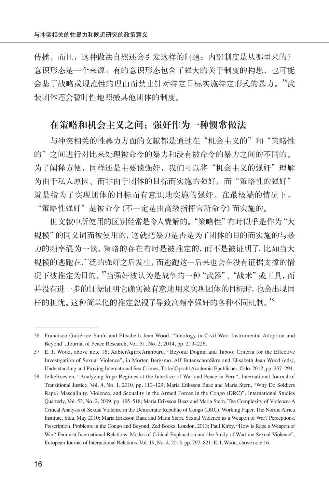传播。而且,这种做法自然还会引发这样的问题:内部制度是从哪里来的? 意识形态是一个来源:有的意识形态包含了强大的关于制度的构想,也可能 会基于战略或规范性的理由而禁止针对特定目标实施特定形式的暴力。<sup>56</sup>武 装团体还会暂时性地照搬其他团体的制度。

#### 在策略和机会主义之间:强奸作为一种惯常做法

与冲突相关的性暴力方面的文献都是通过在"机会主义的"和"策略性 的"之间进行对比来处理被命令的暴力和没有被命令的暴力之间的不同的。 为了阐释方便,同样还是主要谈强奸,我们可以将"机会主义的强奸"理解 为由于私人原因、而非由于团体的目标而实施的强奸,而"策略性的强奸" 就是指为了实现团体的目标而有意识地实施的强奸。在最极端的情况下, "策略性强奸"是被命令 (不一定是由高级指挥官所命令) 而实施的。

但文献中所使用的区别经常是令人费解的。"策略性"有时似乎是作为"大 规模"的同义词而被使用的,这就把暴力是否是为了团体的目的而实施的与暴 力的频率混为一谈。策略的存在有时是被推定的,而不是被证明了,比如当大 规模的逃跑在广泛的强奸之后发生,而逃跑这一后果也会在没有证据支撑的情 况下被推定为目的。"当强奸被认为是战争的一种"武器"、"战术"或工具,而 并没有进一步的证据证明它确实被有意地用来实现团体的目标时,也会出现同 样的担忧。这种简单化的推定忽视了导致高频率强奸的各种不同机制。<sup>58</sup>

<sup>56</sup> Francisco Gutiérrez Sanín and Elisabeth Jean Wood, "Ideology in Civil War: Instrumental Adoption and Beyond", Journal of Peace Research, Vol. 51, No. 2, 2014, pp. 213–226.

<sup>57</sup> E. J. Wood, above note 16; XabierAgirreAranburu, "Beyond Dogma and Taboo: Criteria for the Effective Investigation of Sexual Violence", in Morten Bergsmo, Alf ButenschonSkre and Elisabeth Jean Wood (eds), Understanding and Proving International Sex Crimes, TorkelOpsahl Academic Epublisher, Oslo, 2012, pp. 267–294.

<sup>58</sup> JelkeBoesten, "Analyzing Rape Regimes at the Interface of War and Peace in Peru", International Journal of Transitional Justice, Vol. 4, No. 1, 2010, pp. 110–129; Maria Eriksson Baaz and Maria Stern, "Why Do Soldiers Rape? Masculinity, Violence, and Sexuality in the Armed Forces in the Congo (DRC)", International Studies Quarterly, Vol. 53, No. 2, 2009, pp. 495–518; Maria Eriksson Baaz and Maria Stern, The Complexity of Violence: A Critical Analysis of Sexual Violence in the Democratic Republic of Congo (DRC), Working Paper, The Nordic Africa Institute, Sida, May 2010; Maria Eriksson Baaz and Maria Stern, Sexual Violence as a Weapon of War? Perceptions, Prescription, Problems in the Congo and Beyond, Zed Books, London, 2013; Paul Kirby, "How is Rape a Weapon of War? Feminist International Relations, Modes of Critical Explanation and the Study of Wartime Sexual Violence", European Journal of International Relations, Vol. 19, No. 4, 2013, pp. 797–821; E. J. Wood, above note 16.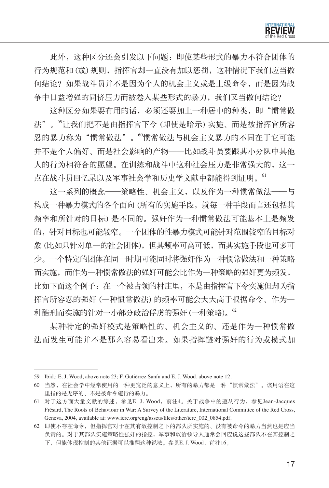

此外,这种区分还会引发以下问题:即使某些形式的暴力不符合团体的 行为规范和 (或) 规则,指挥官却一直没有加以惩罚,这种情况下我们应当做 何结论?如果战斗员并不是因为个人的机会主义或是上级命令,而是因为战 争中日益增强的同侪压力而被卷入某些形式的暴力,我们又当做何结论?

这种区分如果要有用的话,必须还要加上一种居中的种类,即"惯常做 法"。<sup>59</sup>让我们把不是由指挥官下令 (即使是暗示) 实施、而是被指挥官所容 忍的暴力称为"惯常做法"。"惯常做法与机会主义暴力的不同在于它可能 并不是个人偏好、而是社会影响的产物——比如战斗员要跟其小分队中其他 人的行为相符合的愿望。在训练和战斗中这种社会压力是非常强大的,这一 点在战斗员回忆录以及军事社会学和历史学文献中都能得到证明。<sup>61</sup>

这一系列的概念——策略性、机会主义,以及作为一种惯常做法——与 构成一种暴力模式的各个面向 (所有的实施手段,就每一种手段而言还包括其 频率和所针对的目标) 是不同的。强奸作为一种惯常做法可能基本上是频发 的,针对目标也可能较窄。一个团体的性暴力模式可能针对范围较窄的目标对 象 (比如只针对单一的社会团体),但其频率可高可低,而其实施手段也可多可 少。一个特定的团体在同一时期可能同时将强奸作为一种惯常做法和一种策略 而实施,而作为一种惯常做法的强奸可能会比作为一种策略的强奸更为频发, 比如下面这个例子:在一个被占领的村庄里,不是由指挥官下令实施但却为指 挥官所容忍的强奸 (一种惯常做法) 的频率可能会大大高于根据命令、作为一 种酷刑而实施的针对一小部分政治俘虏的强奸 (一种策略)。<sup>62</sup>

某种特定的强奸模式是策略性的、机会主义的、还是作为一种惯常做 法而发生可能并不是那么容易看出来。如果指挥链对强奸的行为或模式加

<sup>59</sup> Ibid.; E. J. Wood, above note 23; F. Gutiérrez Sanín and E. J. Wood, above note 12.

<sup>60</sup> 当然,在社会学中经常使用的一种更宽泛的意义上,所有的暴力都是一种"惯常做法"。该用语在这 里指的是无序的、不是被命令施行的暴力。

<sup>61</sup> 对于这方面大量文献的综述,参见E. J. Wood,前注4。关于战争中的遵从行为,参见Jean-Jacques Frésard, The Roots of Behaviour in War: A Survey of the Literature, International Committee of the Red Cross, Geneva, 2004, available at: www.icrc.org/eng/assets/files/other/icrc\_002\_0854.pdf.

<sup>62</sup> 即使不存在命令,但指挥官对于在其有效控制之下的部队所实施的、没有被命令的暴力当然也是应当 负责的。对于其部队实施策略性强奸的指控,军事和政治领导人通常会回应说这些部队不在其控制之 下,但能体现控制的其他证据可以推翻这种说法。参见E. J. Wood,前注16。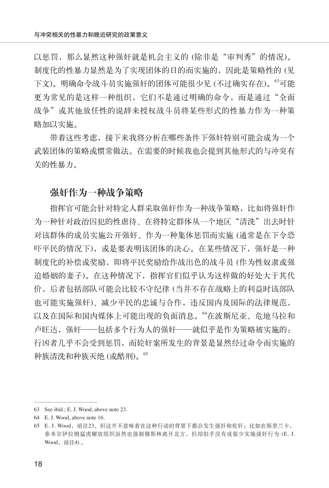以惩罚,那么显然这种强奸就是机会主义的 (除非是"审判秀"的情况)。 制度化的性暴力显然是为了实现团体的目的而实施的,因此是策略性的 (见 下文)。明确命令战斗员实施强奸的团体可能很少见 (不过确实存在)。<sup>63</sup>可能 更为常见的是这样一种组织,它们不是通过明确的命令,而是通过"全面 战争"或其他放任性的说辞来授权战斗员将某些形式的性暴力作为一种策 略加以实施。

带着这些考虑,接下来我将分析在哪些条件下强奸特别可能会成为一个 武装团体的策略或惯常做法。在需要的时候我也会提到其他形式的与冲突有 关的性暴力。

#### 强奸作为一种战争策略

指挥官可能会针对特定人群采取强奸作为一种战争策略,比如将强奸作 为一种针对政治囚犯的性虐待、在将特定群体从一个地区"清洗"出去时针 对该群体的成员实施公开强奸、作为一种集体惩罚而实施 (通常是在下令恐 吓平民的情况下), 或是要表明该团体的决心。在某些情况下, 强奸是一种 制度化的补偿或奖励,即将平民奖励给作战出色的战斗员 (作为性奴隶或强 迫婚姻的妻子)。在这种情况下,指挥官们似乎认为这样做的好处大于其代 价,后者包括部队可能会比较不守纪律 (当并不存在战略上的利益时该部队 也可能实施强奸)、减少平民的忠诚与合作,违反国内及国际的法律规范, 以及在国际和国内媒体上可能出现的负面消息。<sup>64</sup>在波斯尼亚、危地马拉和 卢旺达,强奸——包括多个行为人的强奸——就似乎是作为策略被实施的: 行凶者几乎不会受到惩罚,而轮奸案所发生的背景是显然经过命令而实施的 种族清洗和种族灭绝 (或酷刑)。<sup>65</sup>

<sup>63</sup> See ibid.; E. J. Wood, above note 23.

<sup>64</sup> E. J. Wood, above note 16.

<sup>65</sup> E. J. Wood, 前注23。但这并不意味着在这种行动的背景下都会发生强奸和轮奸: 比如在斯里兰卡, 泰米尔伊拉姆猛虎解放组织虽然也强制穆斯林离开北方,但却似乎没有或很少实施强奸行为 (E. J. Wood, 前注4)。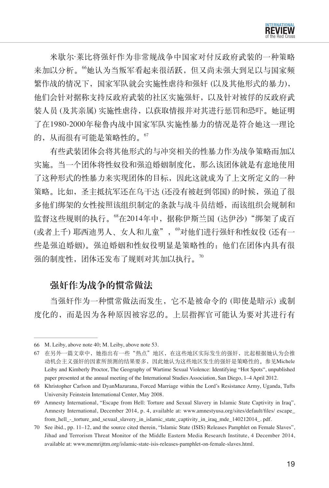米歇尔·莱比将强奸作为非常规战争中国家对付反政府武装的一种策略 来加以分析。<sup>66</sup>她认为当叛军看起来很活跃,但又尚未强大到足以与国家频 繁作战的情况下,国家军队就会实施性虐待和强奸 (以及其他形式的暴力), 他们会针对据称支持反政府武装的社区实施强奸,以及针对被俘的反政府武 装人员 (及其亲属) 实施性虐待, 以获取情报并对其进行惩罚和恐吓。她证明 了在1980-2000年秘鲁内战中国家军队实施性暴力的情况是符合她这一理论 的,从而很有可能是策略性的。"

有些武装团体会将其他形式的与冲突相关的性暴力作为战争策略而加以 实施。当一个团体将性奴役和强迫婚姻制度化,那么该团体就是有意地使用 了这种形式的性暴力来实现团体的目标,因此这就成为了上文所定义的一种 策略。比如,圣主抵抗军还在乌干达 (还没有被赶到邻国) 的时候,强迫了很 多他们绑架的女性按照该组织制定的条款与战斗员结婚,而该组织会规制和 监督这些规则的执行。"在2014年中,据称伊斯兰国(达伊沙)"绑架了成百 (或者上千) 耶西迪男人、女人和儿童", "对他们进行强奸和性奴役 (还有一 些是强迫婚姻)。强迫婚姻和性奴役明显是策略性的:他们在团体内具有很 强的制度性,团体还发布了规则对其加以执行。"

#### 强奸作为战争的惯常做法

当强奸作为一种惯常做法而发生,它不是被命令的 (即使是暗示) 或制 度化的,而是因为各种原因被容忍的。上层指挥官可能认为要对其进行有

<sup>66</sup> M. Leiby, above note 40; M. Leiby, above note 53.

<sup>67</sup> 在另外一篇文章中,她指出有一些"热点"地区,在这些地区实际发生的强奸,比起根据她认为会推 动机会主义强奸的因素所预测的结果要多,因此她认为这些地区发生的强奸是策略性的。参见Michele Leiby and Kimberly Proctor, The Geography of Wartime Sexual Violence: Identifying "Hot Spots", unpublished paper presented at the annual meeting of the International Studies Association, San Diego, 1–4 April 2012.

<sup>68</sup> Khristopher Carlson and DyanMazurana, Forced Marriage within the Lord's Resistance Army, Uganda, Tufts University Feinstein International Center, May 2008.

<sup>69</sup> Amnesty International, "Escape from Hell: Torture and Sexual Slavery in Islamic State Captivity in Iraq", Amnesty International, December 2014, p. 4, available at: www.amnestyusa.org/sites/default/files/ escape\_ from\_hell\_-\_torture\_and\_sexual\_slavery\_in\_islamic\_state\_captivity\_in\_iraq\_mde\_140212014\_. pdf.

<sup>70</sup> See ibid., pp. 11–12, and the source cited therein, "Islamic State (ISIS) Releases Pamphlet on Female Slaves", Jihad and Terrorism Threat Monitor of the Middle Eastern Media Research Institute, 4 December 2014, available at: www.memrijttm.org/islamic-state-isis-releases-pamphlet-on-female-slaves.html.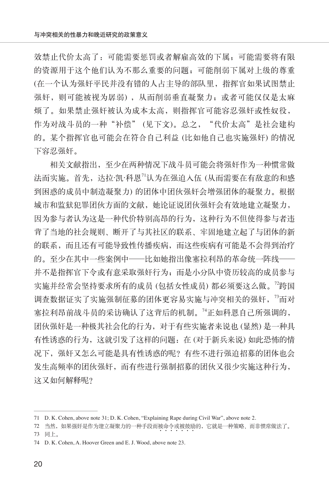效禁止代价太高了:可能需要惩罚或者解雇高效的下属;可能需要将有限 的资源用于这个他们认为不那么重要的问题;可能削弱下属对上级的尊重 (在一个认为强奸平民并没有错的人占主导的部队里,指挥官如果试图禁止 强奸,则可能被视为孱弱),从而削弱垂直凝聚力;或者可能仅仅是太麻 烦了。如果禁止强奸被认为成本太高,则指挥官可能容忍强奸或性奴役, 作为对战斗员的一种"补偿" (见下文)。总之, "代价太高"是社会建构 的。某个指挥官也可能会在符合自己利益 (比如他自己也实施强奸) 的情况 下容忍强奸。

相关文献指出,至少在两种情况下战斗员可能会将强奸作为一种惯常做 法而实施。首先,达拉·凯·科恩<sup>71</sup>认为在强迫入伍(从而需要在有敌意的和感 到困惑的成员中制造凝聚力) 的团体中团伙强奸会增强团体的凝聚力。根据 城市和监狱犯罪团伙方面的文献,她论证说团伙强奸会有效地建立凝聚力, 因为参与者认为这是一种代价特别高昂的行为,这种行为不但使得参与者违 背了当地的社会规则、断开了与其社区的联系、牢固地建立起了与团体的新 的联系,而且还有可能导致性传播疾病,而这些疾病有可能是不会得到治疗 的。至少在其中一些案例中——比如她指出像塞拉利昂的革命统一阵线一 并不是指挥官下令或有意采取强奸行为;而是小分队中资历较高的成员参与 实施并经常会坚持要求所有的成员 (包括女性成员) 都必须要这么做。<sup>72</sup>跨国 调查数据证实了实施强制征募的团体更容易实施与冲突相关的强奸, <sup>73</sup>而对 塞拉利昂前战斗员的采访确认了这背后的机制。<sup>74</sup>正如科恩自己所强调的, 团伙强奸是一种极其社会化的行为,对于有些实施者来说也 (显然) 是一种具 有性诱惑的行为,这就引发了这样的问题:在 (对于新兵来说) 如此恐怖的情 况下,强奸又怎么可能是具有性诱惑的呢?有些不进行强迫招募的团体也会 发生高频率的团伙强奸,而有些进行强制招募的团伙又很少实施这种行为, 这又如何解释呢?

<sup>71</sup> D. K. Cohen, above note 31; D. K. Cohen, "Explaining Rape during Civil War", above note 2.

<sup>72</sup> 当然,如果强奸是作为建立凝聚力的一种手段而被命令或被鼓励的,它就是一种策略、而非惯常做法了。<br> 73 同上。

<sup>74</sup> D. K. Cohen, A. Hoover Green and E. J. Wood, above note 23.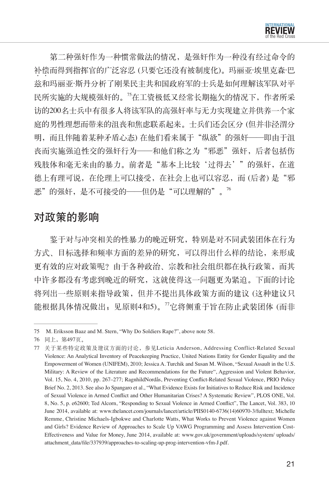

第二种强奸作为一种惯常做法的情况,是强奸作为一种没有经过命令的 补偿而得到指挥官的广泛容忍(只要它还没有被制度化)。玛丽亚·埃里克森·巴 兹和玛丽亚·斯丹分析了刚果民主共和国政府军的士兵是如何理解该军队对平 民所实施的大规模强奸的。<sup>75</sup>在工资极低又经常长期拖欠的情况下,作者所采 访的200名士兵中有很多人将该军队的高强奸率与无力实现建立并供养一个家 庭的男性理想而带来的沮丧和焦虑联系起来。士兵们还会区分 (但并非泾渭分 明,而且伴随着某种矛盾心态) 在他们看来属于"纵欲"的强奸——即由于沮 丧而实施强迫性交的强奸行为——和他们称之为"邪恶"强奸,后者包括伤 残肢体和毫无来由的暴力。前者是"基本上比较'过得去'"的强奸,在道 德上有理可说,在伦理上可以接受,在社会上也可以容忍,而(后者)是"邪 恶"的强奸,是不可接受的——但仍是"可以理解的"。<sup>76</sup>

# 对政策的影响

鉴于对与冲突相关的性暴力的晚近研究,特别是对不同武装团体在行为 方式、目标选择和频率方面的差异的研究,可以得出什么样的结论,来形成 更有效的应对政策呢?由于各种政治、宗教和社会组织都在执行政策,而其 中许多都没有考虑到晚近的研究,这就使得这一问题更为紧迫。下面的讨论 将列出一些原则来指导政策,但并不提出具体政策方面的建议 (这种建议只 能根据具体情况做出;见原则4和5)。<sup>77</sup>它将侧重于旨在防止武装团体 (而非

<sup>75</sup> M. Eriksson Baaz and M. Stern, "Why Do Soldiers Rape?", above note 58.

<sup>76</sup> 同上,第497页。

<sup>77</sup> 关于某些特定政策及建议方面的讨论,参见Leticia Anderson, Addressing Conflict-Related Sexual Violence: An Analytical Inventory of Peacekeeping Practice, United Nations Entity for Gender Equality and the Empowerment of Women (UNIFEM), 2010; Jessica A. Turchik and Susan M. Wilson, "Sexual Assault in the U.S. Military: A Review of the Literature and Recommendations for the Future", Aggression and Violent Behavior, Vol. 15, No. 4, 2010, pp. 267–277; RagnhildNordås, Preventing Conflict-Related Sexual Violence, PRIO Policy Brief No. 2, 2013. See also Jo Spangaro et al., "What Evidence Exists for Initiatives to Reduce Risk and Incidence of Sexual Violence in Armed Conflict and Other Humanitarian Crises? A Systematic Review", PLOS ONE, Vol. 8, No. 5, p. e62600; Ted Alcorn, "Responding to Sexual Violence in Armed Conflict", The Lancet, Vol. 383, 10 June 2014, available at: www.thelancet.com/journals/lancet/article/PIIS0140-6736(14)60970-3/fulltext; Michelle Remme, Christine Michaels-Igbokwe and Charlotte Watts, What Works to Prevent Violence against Women and Girls? Evidence Review of Approaches to Scale Up VAWG Programming and Assess Intervention Cost-Effectiveness and Value for Money, June 2014, available at: www.gov.uk/government/uploads/system/ uploads/ attachment\_data/file/337939/approaches-to-scaling-up-prog-intervention-vfm-J.pdf.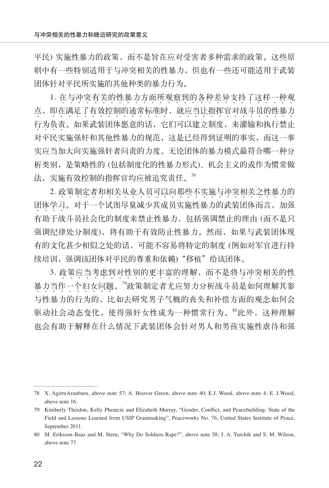平民) 实施性暴力的政策,而不是旨在应对受害者多种需求的政策。这些原 则中有一些特别适用于与冲突相关的性暴力,但也有一些还可能适用于武装 团体针对平民所实施的其他种类的暴力行为。

1. 在与冲突有关的性暴力方面所观察到的各种差异支持了这样一种观 点, 即在满足了有效控制的通常标准时, 就应当让指挥官对战斗员的性暴力 行为负责 。如果武装团体愿意的话,它们可以建立制度,来灌输和执行禁止  $\cdots$ 对平民实施强奸和其他性暴力的规范,这是已经得到证明的事实,而这一事 实应当加大向实施强奸者问责的力度。无论团体的暴力模式最符合哪一种分 析类别,是策略性的 (包括制度化的性暴力形式)、机会主义的或作为惯常做 法,实施有效控制的指挥官均应被追究责任。<sup>78</sup>

2. 政策制定者和相关从业人员可以向那些不实施与冲突相关之性暴力的 团体学习。对于一个试图尽量减少其成员实施性暴力的武装团体而言,加强 . . . . 有助于战斗员社会化的制度来禁止性暴力,包括强调禁止的理由 (而不是只 强调纪律处分制度),将有助于有效防止性暴力。然而,如果与武装团体现 有的文化甚少相似之处的话,可能不容易将特定的制度 (例如对军官进行持 续培训,强调该团体对平民的尊重和依赖)"移植"给该团体。

3. 政策应当考虑到对性别的更丰富的理解, 而不是将与冲突相关的性 . . . . . . . . . . . 暴力当作一个妇女问题。<sup>79</sup>政策制定者尤应努力分析战斗员是如何理解其参 与性暴力的行为的,比如去研究男子气概的丧失和补偿方面的观念如何会 驱动社会动态变化,使得强奸女性成为一种惯常行为。80此外,这种理解 也会有助于解释在什么情况下武装团体会针对男人和男孩实施性虐待和强

<sup>78</sup> X. AgirreAranbaru, above note 57; A. Hoover Green, above note 40; E.J. Wood, above note 4; E. J.Wood, above note 16.

<sup>79</sup> Kimberly Theidon, Kelly Phenicie and Elizabeth Murray, "Gender, Conflict, and Peacebuilding: State of the Field and Lessons Learned from USIP Grantmaking", Peaceworks No. 76, United States Institute of Peace, September 2011.

<sup>80</sup> M. Eriksson Baaz and M. Stern, "Why Do Soldiers Rape?", above note 58; J. A. Turchik and S. M. Wilson, above note 77.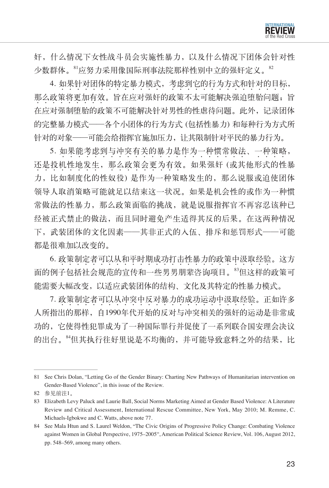奸,什么情况下女性战斗员会实施性暴力,以及什么情况下团体会针对性 少数群体。<sup>81</sup>应努力采用像国际刑事法院那样性别中立的强奸定义。<sup>82</sup>

4. 如果针对团体的特定暴力模式,考虑到它的行为方式和针对的目标, 那么政策将更加有效。旨在应对强奸的政策不太可能解决强迫堕胎问题;旨 44444444 44 在应对强制堕胎的政策不可能解决针对男性的性虐待问题。此外,记录团体 的完整暴力模式——各个小团体的行为方式 (包括性暴力) 和每种行为方式所 针对的对象——可能会给指挥官施加压力,让其限制针对平民的暴力行为。

5. 如果能考虑到与冲突有关的暴力是作为一种惯常做法、一种策略, 还是投机性地发生,那么政策会更为有效。如果强奸 (或其他形式的性暴 力,比如制度化的性奴役) 是作为一种策略发生的,那么说服或迫使团体 领导人取消策略可能就足以结束这一状况。如果是机会性的或作为一种惯 常做法的性暴力,那么政策面临的挑战,就是说服指挥官不再容忍该种已 经被正式禁止的做法,而且同时避免产生适得其反的后果。在这两种情况 下,武装团体的文化因素——其非正式的入伍、排斥和惩罚形式——可能 都是很难加以改变的。

6. 政策制定者可以从和平时期成功打击性暴力的政策中汲取经验。这方 面的例子包括社会规范的宣传和一些男男朋辈咨询项目。<sup>83</sup>但这样的政策可 能需要大幅改变,以适应武装团体的结构、文化及其特定的性暴力模式。

7. 政策制定者可以从冲突中反对暴力的成功运动中汲取经验。正如许多 人所指出的那样,自1990年代开始的反对与冲突相关的强奸的运动是非常成 功的,它使得性犯罪成为了一种国际罪行并促使了一系列联合国安理会决议 的出台。84但其执行往好里说是不均衡的,并可能导致意料之外的结果,比

<sup>81</sup> See Chris Dolan, "Letting Go of the Gender Binary: Charting New Pathways of Humanitarian intervention on Gender-Based Violence", in this issue of the Review.

<sup>82</sup> 参见前注1。

<sup>83</sup> Elizabeth Levy Paluck and Laurie Ball, Social Norms Marketing Aimed at Gender Based Violence: A Literature Review and Critical Assessment, International Rescue Committee, New York, May 2010; M. Remme, C. Michaels-Igbokwe and C. Watts, above note 77.

<sup>84</sup> See Mala Htun and S. Laurel Weldon, "The Civic Origins of Progressive Policy Change: Combating Violence against Women in Global Perspective, 1975–2005", American Political Science Review, Vol. 106, August 2012, pp. 548–569, among many others.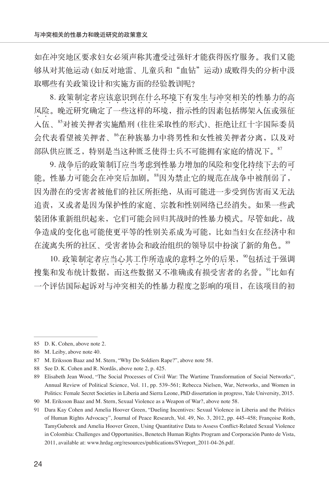如在冲突地区要求妇女必须声称其遭受过强奸才能获得医疗服务。我们又能 够从对其他运动 (如反对地雷、儿童兵和"血钻"运动) 成败得失的分析中汲 取哪些有关政策设计和实施方面的经验教训呢?

8. 政策制定者应该意识到在什么环境下有发生与冲突相关的性暴力的高 风险。晚近研究确定了一些这样的环境,指示性的因素包括绑架入伍或强征  $\cdot$   $\cdot$ 入伍、<sup>85</sup>对被关押者实施酷刑 (往往采取性的形式)、拒绝让红十字国际委员 会代表看望被关押者、<sup>86</sup>在种族暴力中将男性和女性被关押者分离,以及对 部队供应匮乏,特别是当这种匮乏使得士兵不可能拥有家庭的情况下。<sup>87</sup>

9. 战争后的政策制订应当考虑到性暴力增加的风险和变化持续下去的可 能。性暴力可能会在冲突后加剧。"因为禁止它的规范在战争中被削弱了,  $\bullet$ 因为潜在的受害者被他们的社区所拒绝,从而可能进一步受到伤害而又无法 追责,又或者是因为保护性的家庭、宗教和性别网络已经消失。如果一些武 装团体重新组织起来,它们可能会回归其战时的性暴力模式。尽管如此,战 争造成的变化也可能使更平等的性别关系成为可能,比如当妇女在经济中和 在流离失所的社区、受害者协会和政治组织的领导层中扮演了新的角色。<sup>89</sup>

10. 政策制定者应当心其工作所造成的意料之外的后果, <sup>90</sup>包括过于强调 搜集和发布统计数据,而这些数据又不准确或有损受害者的名誉。<sup>91</sup>比如有 一个评估国际起诉对与冲突相关的性暴力程度之影响的项目,在该项目的初

<sup>85</sup> D. K. Cohen, above note 2.

<sup>86</sup> M. Leiby, above note 40.

<sup>87</sup> M. Eriksson Baaz and M. Stern, "Why Do Soldiers Rape?", above note 58.

<sup>88</sup> See D. K. Cohen and R. Nordås, above note 2, p. 425.

<sup>89</sup> Elisabeth Jean Wood, "The Social Processes of Civil War: The Wartime Transformation of Social Networks", Annual Review of Political Science, Vol. 11, pp. 539–561; Rebecca Nielsen, War, Networks, and Women in Politics: Female Secret Societies in Liberia and Sierra Leone, PhD dissertation in progress, Yale University, 2015.

<sup>90</sup> M. Eriksson Baaz and M. Stern, Sexual Violence as a Weapon of War?, above note 58.

<sup>91</sup> Dara Kay Cohen and Amelia Hoover Green, "Dueling Incentives: Sexual Violence in Liberia and the Politics of Human Rights Advocacy", Journal of Peace Research, Vol. 49, No. 3, 2012, pp. 445–458; Françoise Roth, TamyGuberek and Amelia Hoover Green, Using Quantitative Data to Assess Conflict-Related Sexual Violence in Colombia: Challenges and Opportunities, Benetech Human Rights Program and Corporación Punto de Vista, 2011, available at: www.hrdag.org/resources/publications/SVreport\_2011-04-26.pdf.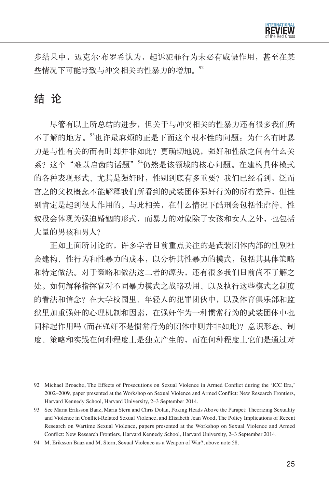

步结果中,迈克尔·布罗希认为,起诉犯罪行为未必有威慑作用,甚至在某 些情况下可能导致与冲突相关的性暴力的增加。92

# 结 论

尽管有以上所总结的进步,但关于与冲突相关的性暴力还有很多我们所 不了解的地方。<sup>93</sup>也许最麻烦的正是下面这个根本性的问题:为什么有时暴 力是与性有关的而有时却并非如此?更确切地说,强奸和性欲之间有什么关 系?这个"难以启齿的话题"<sup>94</sup>仍然是该领域的核心问题。在建构具体模式 的各种表现形式、尤其是强奸时,性别到底有多重要?我们已经看到,泛而 言之的父权概念不能解释我们所看到的武装团体强奸行为的所有差异,但性 别肯定是起到很大作用的。与此相关,在什么情况下酷刑会包括性虐待、性 奴役会体现为强迫婚姻的形式,而暴力的对象除了女孩和女人之外,也包括 大量的男孩和男人?

正如上面所讨论的,许多学者目前重点关注的是武装团体内部的性别社 会建构、性行为和性暴力的成本,以分析其性暴力的模式,包括其具体策略 和特定做法。对于策略和做法这二者的源头,还有很多我们目前尚不了解之 处。如何解释指挥官对不同暴力模式之战略功用、以及执行这些模式之制度 的看法和信念?在大学校园里、年轻人的犯罪团伙中,以及体育俱乐部和监 狱里加重强奸的心理机制和因素,在强奸作为一种惯常行为的武装团体中也 同样起作用吗 (而在强奸不是惯常行为的团体中则并非如此)?意识形态、制 度、策略和实践在何种程度上是独立产生的,而在何种程度上它们是通过对

<sup>92</sup> Michael Broache, The Effects of Prosecutions on Sexual Violence in Armed Conflict during the 'ICC Era,' 2002–2009, paper presented at the Workshop on Sexual Violence and Armed Conflict: New Research Frontiers, Harvard Kennedy School, Harvard University, 2–3 September 2014.

<sup>93</sup> See Maria Eriksson Baaz, Maria Stern and Chris Dolan, Poking Heads Above the Parapet: Theorizing Sexuality and Violence in Conflict-Related Sexual Violence, and Elisabeth Jean Wood, The Policy Implications of Recent Research on Wartime Sexual Violence, papers presented at the Workshop on Sexual Violence and Armed Conflict: New Research Frontiers, Harvard Kennedy School, Harvard University, 2–3 September 2014.

<sup>94</sup> M. Eriksson Baaz and M. Stern, Sexual Violence as a Weapon of War?, above note 58.